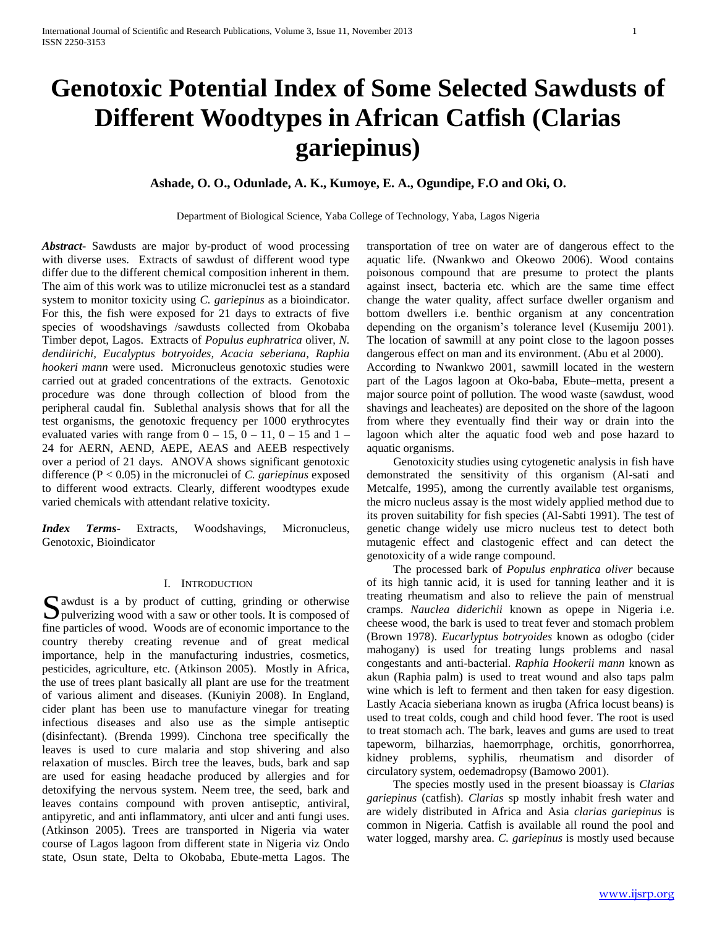# **Genotoxic Potential Index of Some Selected Sawdusts of Different Woodtypes in African Catfish (Clarias gariepinus)**

# **Ashade, O. O., Odunlade, A. K., Kumoye, E. A., Ogundipe, F.O and Oki, O.**

Department of Biological Science, Yaba College of Technology, Yaba, Lagos Nigeria

*Abstract***-** Sawdusts are major by-product of wood processing with diverse uses. Extracts of sawdust of different wood type differ due to the different chemical composition inherent in them. The aim of this work was to utilize micronuclei test as a standard system to monitor toxicity using *C. gariepinus* as a bioindicator. For this, the fish were exposed for 21 days to extracts of five species of woodshavings /sawdusts collected from Okobaba Timber depot, Lagos. Extracts of *Populus euphratrica* oliver, *N. dendiirichi, Eucalyptus botryoides, Acacia seberiana, Raphia hookeri mann* were used. Micronucleus genotoxic studies were carried out at graded concentrations of the extracts. Genotoxic procedure was done through collection of blood from the peripheral caudal fin. Sublethal analysis shows that for all the test organisms, the genotoxic frequency per 1000 erythrocytes evaluated varies with range from  $0 - 15$ ,  $0 - 11$ ,  $0 - 15$  and  $1 -$ 24 for AERN, AEND, AEPE, AEAS and AEEB respectively over a period of 21 days. ANOVA shows significant genotoxic difference (P < 0.05) in the micronuclei of *C. gariepinus* exposed to different wood extracts. Clearly, different woodtypes exude varied chemicals with attendant relative toxicity.

*Index Terms*- Extracts, Woodshavings, Micronucleus, Genotoxic, Bioindicator

# I. INTRODUCTION

S awdust is a by product of cutting, grinding or otherwise<br>pulverizing wood with a saw or other tools. It is composed of pulverizing wood with a saw or other tools. It is composed of fine particles of wood. Woods are of economic importance to the country thereby creating revenue and of great medical importance, help in the manufacturing industries, cosmetics, pesticides, agriculture, etc. (Atkinson 2005). Mostly in Africa, the use of trees plant basically all plant are use for the treatment of various aliment and diseases. (Kuniyin 2008). In England, cider plant has been use to manufacture vinegar for treating infectious diseases and also use as the simple antiseptic (disinfectant). (Brenda 1999). Cinchona tree specifically the leaves is used to cure malaria and stop shivering and also relaxation of muscles. Birch tree the leaves, buds, bark and sap are used for easing headache produced by allergies and for detoxifying the nervous system. Neem tree, the seed, bark and leaves contains compound with proven antiseptic, antiviral, antipyretic, and anti inflammatory, anti ulcer and anti fungi uses. (Atkinson 2005). Trees are transported in Nigeria via water course of Lagos lagoon from different state in Nigeria viz Ondo state, Osun state, Delta to Okobaba, Ebute-metta Lagos. The transportation of tree on water are of dangerous effect to the aquatic life. (Nwankwo and Okeowo 2006). Wood contains poisonous compound that are presume to protect the plants against insect, bacteria etc. which are the same time effect change the water quality, affect surface dweller organism and bottom dwellers i.e. benthic organism at any concentration depending on the organism's tolerance level (Kusemiju 2001). The location of sawmill at any point close to the lagoon posses dangerous effect on man and its environment. (Abu et al 2000).

According to Nwankwo 2001, sawmill located in the western part of the Lagos lagoon at Oko-baba, Ebute–metta, present a major source point of pollution. The wood waste (sawdust, wood shavings and leacheates) are deposited on the shore of the lagoon from where they eventually find their way or drain into the lagoon which alter the aquatic food web and pose hazard to aquatic organisms.

 Genotoxicity studies using cytogenetic analysis in fish have demonstrated the sensitivity of this organism (Al-sati and Metcalfe, 1995), among the currently available test organisms, the micro nucleus assay is the most widely applied method due to its proven suitability for fish species (Al-Sabti 1991). The test of genetic change widely use micro nucleus test to detect both mutagenic effect and clastogenic effect and can detect the genotoxicity of a wide range compound.

 The processed bark of *Populus enphratica oliver* because of its high tannic acid, it is used for tanning leather and it is treating rheumatism and also to relieve the pain of menstrual cramps. *Nauclea diderichii* known as opepe in Nigeria i.e. cheese wood, the bark is used to treat fever and stomach problem (Brown 1978). *Eucarlyptus botryoides* known as odogbo (cider mahogany) is used for treating lungs problems and nasal congestants and anti-bacterial. *Raphia Hookerii mann* known as akun (Raphia palm) is used to treat wound and also taps palm wine which is left to ferment and then taken for easy digestion. Lastly Acacia sieberiana known as irugba (Africa locust beans) is used to treat colds, cough and child hood fever. The root is used to treat stomach ach. The bark, leaves and gums are used to treat tapeworm, bilharzias, haemorrphage, orchitis, gonorrhorrea, kidney problems, syphilis, rheumatism and disorder of circulatory system, oedemadropsy (Bamowo 2001).

 The species mostly used in the present bioassay is *Clarias gariepinus* (catfish). *Clarias* sp mostly inhabit fresh water and are widely distributed in Africa and Asia *clarias gariepinus* is common in Nigeria. Catfish is available all round the pool and water logged, marshy area. *C. gariepinus* is mostly used because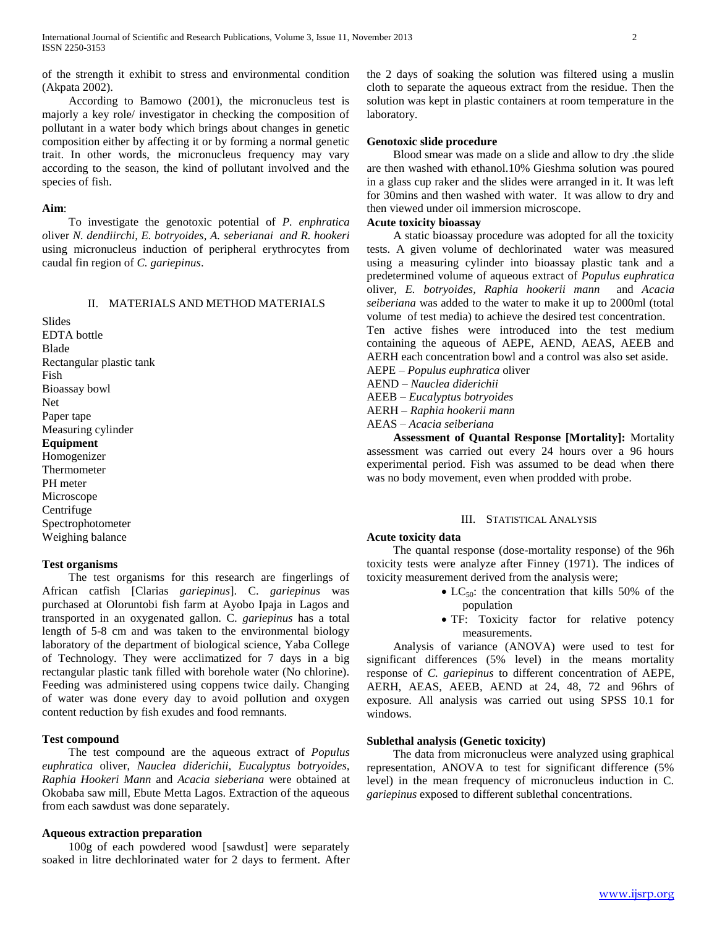of the strength it exhibit to stress and environmental condition (Akpata 2002).

 According to Bamowo (2001), the micronucleus test is majorly a key role/ investigator in checking the composition of pollutant in a water body which brings about changes in genetic composition either by affecting it or by forming a normal genetic trait. In other words, the micronucleus frequency may vary according to the season, the kind of pollutant involved and the species of fish.

# **Aim**:

 To investigate the genotoxic potential of *P. enphratica o*liver *N. dendiirchi, E. botryoides, A. seberianai and R. hookeri* using micronucleus induction of peripheral erythrocytes from caudal fin region of *C. gariepinus*.

# II. MATERIALS AND METHOD MATERIALS

Slides EDTA bottle Blade Rectangular plastic tank Fish Bioassay bowl Net Paper tape Measuring cylinder **Equipment** Homogenizer Thermometer PH meter Microscope Centrifuge Spectrophotometer Weighing balance

# **Test organisms**

 The test organisms for this research are fingerlings of African catfish [Clarias *gariepinus*]. C. *gariepinus* was purchased at Oloruntobi fish farm at Ayobo Ipaja in Lagos and transported in an oxygenated gallon. C. *gariepinus* has a total length of 5-8 cm and was taken to the environmental biology laboratory of the department of biological science, Yaba College of Technology. They were acclimatized for 7 days in a big rectangular plastic tank filled with borehole water (No chlorine). Feeding was administered using coppens twice daily. Changing of water was done every day to avoid pollution and oxygen content reduction by fish exudes and food remnants.

## **Test compound**

 The test compound are the aqueous extract of *Populus euphratica* oliver, *Nauclea diderichii, Eucalyptus botryoides, Raphia Hookeri Mann* and *Acacia sieberiana* were obtained at Okobaba saw mill, Ebute Metta Lagos. Extraction of the aqueous from each sawdust was done separately.

#### **Aqueous extraction preparation**

 100g of each powdered wood [sawdust] were separately soaked in litre dechlorinated water for 2 days to ferment. After the 2 days of soaking the solution was filtered using a muslin cloth to separate the aqueous extract from the residue. Then the solution was kept in plastic containers at room temperature in the laboratory.

# **Genotoxic slide procedure**

 Blood smear was made on a slide and allow to dry .the slide are then washed with ethanol.10% Gieshma solution was poured in a glass cup raker and the slides were arranged in it. It was left for 30mins and then washed with water. It was allow to dry and then viewed under oil immersion microscope.

# **Acute toxicity bioassay**

 A static bioassay procedure was adopted for all the toxicity tests. A given volume of dechlorinated water was measured using a measuring cylinder into bioassay plastic tank and a predetermined volume of aqueous extract of *Populus euphratica*  oliver, *E. botryoides, Raphia hookerii mann* and *Acacia seiberiana* was added to the water to make it up to 2000ml (total volume of test media) to achieve the desired test concentration. Ten active fishes were introduced into the test medium

containing the aqueous of AEPE, AEND, AEAS, AEEB and AERH each concentration bowl and a control was also set aside.

AEPE *– Populus euphratica* oliver

AEND *– Nauclea diderichii*

AEEB *– Eucalyptus botryoides* 

AERH *– Raphia hookerii mann*

AEAS *– Acacia seiberiana*

 **Assessment of Quantal Response [Mortality]:** Mortality assessment was carried out every 24 hours over a 96 hours experimental period. Fish was assumed to be dead when there was no body movement, even when prodded with probe.

# III. STATISTICAL ANALYSIS

# **Acute toxicity data**

 The quantal response (dose-mortality response) of the 96h toxicity tests were analyze after Finney (1971). The indices of toxicity measurement derived from the analysis were;

- $\bullet$  LC<sub>50</sub>: the concentration that kills 50% of the population
- TF: Toxicity factor for relative potency measurements.

 Analysis of variance (ANOVA) were used to test for significant differences (5% level) in the means mortality response of *C. gariepinus* to different concentration of AEPE, AERH, AEAS, AEEB, AEND at 24, 48, 72 and 96hrs of exposure. All analysis was carried out using SPSS 10.1 for windows.

# **Sublethal analysis (Genetic toxicity)**

 The data from micronucleus were analyzed using graphical representation, ANOVA to test for significant difference (5% level) in the mean frequency of micronucleus induction in C. *gariepinus* exposed to different sublethal concentrations.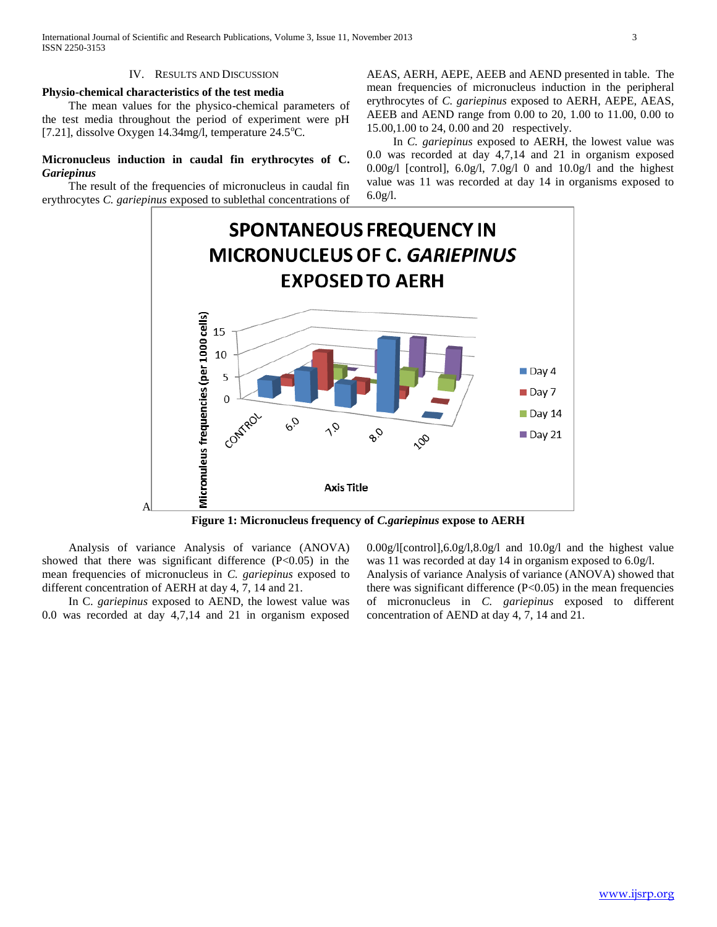### IV. RESULTS AND DISCUSSION

#### **Physio-chemical characteristics of the test media**

 The mean values for the physico-chemical parameters of the test media throughout the period of experiment were pH [7.21], dissolve Oxygen 14.34mg/l, temperature  $24.5^{\circ}$ C.

# **Micronucleus induction in caudal fin erythrocytes of C.**  *Gariepinus*

 The result of the frequencies of micronucleus in caudal fin erythrocytes *C. gariepinus* exposed to sublethal concentrations of AEAS, AERH, AEPE, AEEB and AEND presented in table. The mean frequencies of micronucleus induction in the peripheral erythrocytes of *C. gariepinus* exposed to AERH, AEPE, AEAS, AEEB and AEND range from 0.00 to 20, 1.00 to 11.00, 0.00 to 15.00,1.00 to 24, 0.00 and 20 respectively.

 In *C. gariepinus* exposed to AERH, the lowest value was 0.0 was recorded at day 4,7,14 and 21 in organism exposed 0.00g/l [control], 6.0g/l, 7.0g/l 0 and 10.0g/l and the highest value was 11 was recorded at day 14 in organisms exposed to 6.0g/l.



**Figure 1: Micronucleus frequency of** *C.gariepinus* **expose to AERH**

 Analysis of variance Analysis of variance (ANOVA) showed that there was significant difference  $(P<0.05)$  in the mean frequencies of micronucleus in *C. gariepinus* exposed to different concentration of AERH at day 4, 7, 14 and 21.

 In C. *gariepinus* exposed to AEND, the lowest value was 0.0 was recorded at day 4,7,14 and 21 in organism exposed 0.00g/l[control],6.0g/l,8.0g/l and 10.0g/l and the highest value was 11 was recorded at day 14 in organism exposed to 6.0g/l. Analysis of variance Analysis of variance (ANOVA) showed that there was significant difference  $(P<0.05)$  in the mean frequencies of micronucleus in *C. gariepinus* exposed to different concentration of AEND at day 4, 7, 14 and 21.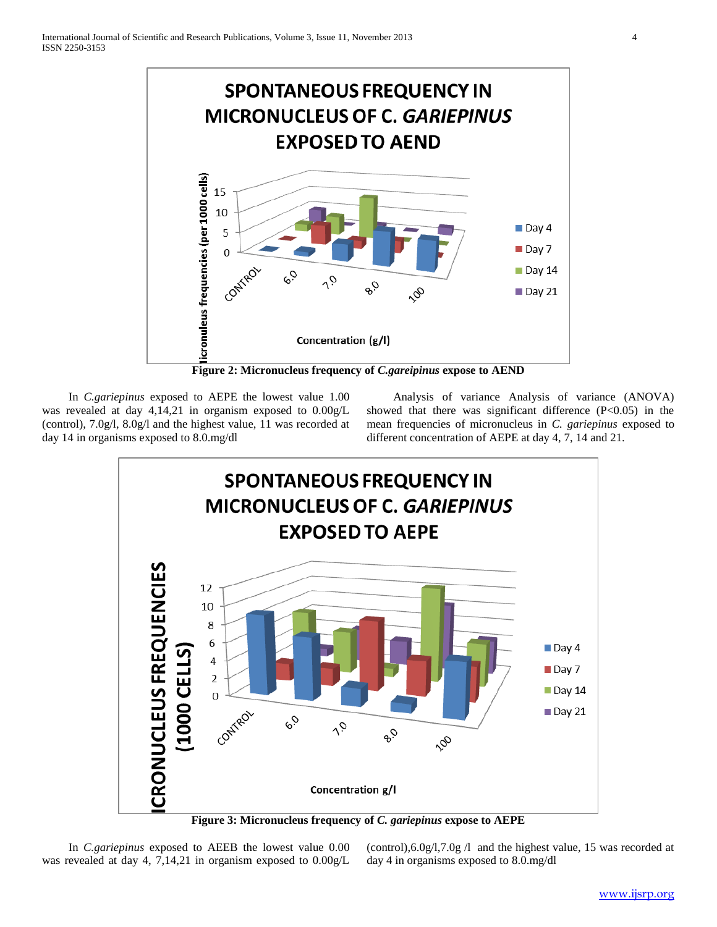

 In *C.gariepinus* exposed to AEPE the lowest value 1.00 was revealed at day 4,14,21 in organism exposed to 0.00g/L (control), 7.0g/l, 8.0g/l and the highest value, 11 was recorded at day 14 in organisms exposed to 8.0.mg/dl

 Analysis of variance Analysis of variance (ANOVA) showed that there was significant difference (P<0.05) in the mean frequencies of micronucleus in *C. gariepinus* exposed to different concentration of AEPE at day 4, 7, 14 and 21.



 In *C.gariepinus* exposed to AEEB the lowest value 0.00 was revealed at day 4, 7,14,21 in organism exposed to 0.00g/L

(control),6.0g/l,7.0g /l and the highest value, 15 was recorded at day 4 in organisms exposed to 8.0.mg/dl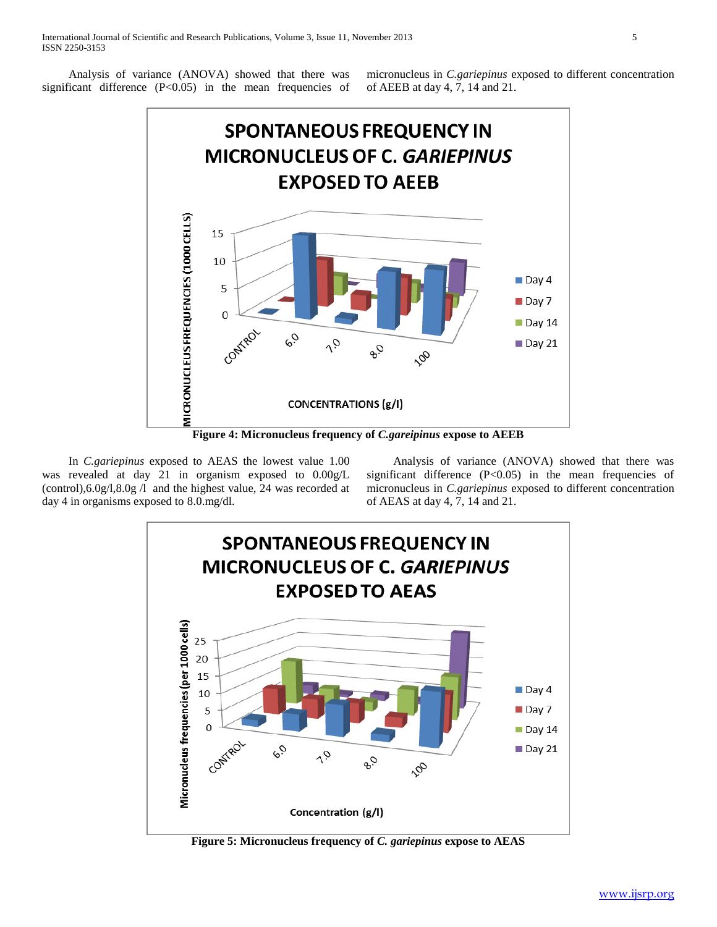Analysis of variance (ANOVA) showed that there was significant difference  $(P<0.05)$  in the mean frequencies of

micronucleus in *C.gariepinus* exposed to different concentration of AEEB at day 4, 7, 14 and 21.



**Figure 4: Micronucleus frequency of** *C.gareipinus* **expose to AEEB**

 In *C.gariepinus* exposed to AEAS the lowest value 1.00 was revealed at day 21 in organism exposed to 0.00g/L (control),6.0g/l,8.0g /l and the highest value, 24 was recorded at day 4 in organisms exposed to 8.0.mg/dl.

 Analysis of variance (ANOVA) showed that there was significant difference  $(P<0.05)$  in the mean frequencies of micronucleus in *C.gariepinus* exposed to different concentration of AEAS at day 4, 7, 14 and 21.



**Figure 5: Micronucleus frequency of** *C. gariepinus* **expose to AEAS**